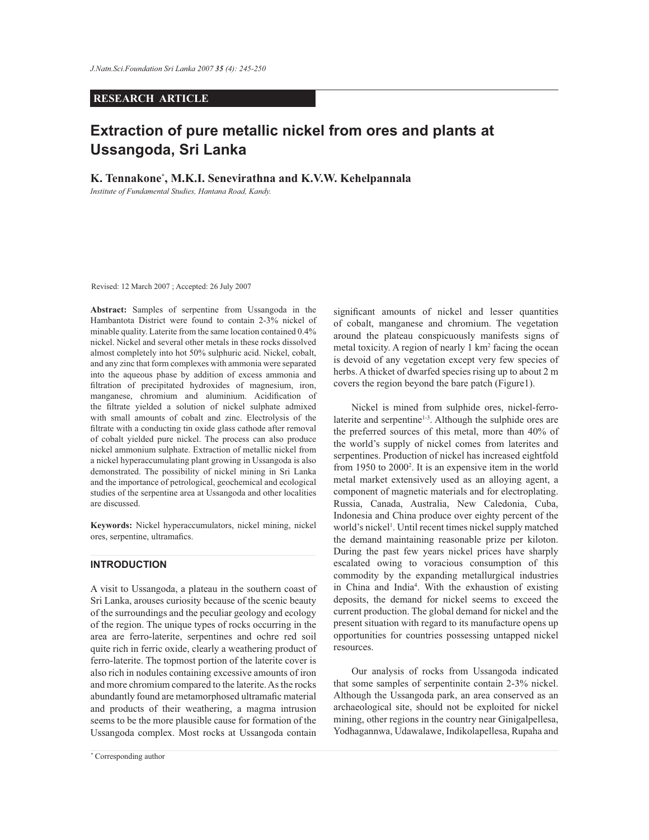# **RESEARCH ARTICLE**

# **Extraction of pure metallic nickel from ores and plants at Ussangoda, Sri Lanka**

**K. Tennakone\* , M.K.I. Senevirathna and K.V.W. Kehelpannala**

*Institute of Fundamental Studies, Hantana Road, Kandy.*

Revised: 12 March 2007 ; Accepted: 26 July 2007

**Abstract:** Samples of serpentine from Ussangoda in the Hambantota District were found to contain 2-3% nickel of minable quality. Laterite from the same location contained 0.4% nickel. Nickel and several other metals in these rocks dissolved almost completely into hot 50% sulphuric acid. Nickel, cobalt, and any zinc that form complexes with ammonia were separated into the aqueous phase by addition of excess ammonia and filtration of precipitated hydroxides of magnesium, iron, manganese, chromium and aluminium. Acidification of the filtrate yielded a solution of nickel sulphate admixed with small amounts of cobalt and zinc. Electrolysis of the filtrate with a conducting tin oxide glass cathode after removal of cobalt yielded pure nickel. The process can also produce nickel ammonium sulphate. Extraction of metallic nickel from a nickel hyperaccumulating plant growing in Ussangoda is also demonstrated. The possibility of nickel mining in Sri Lanka and the importance of petrological, geochemical and ecological studies of the serpentine area at Ussangoda and other localities are discussed.

**Keywords:** Nickel hyperaccumulators, nickel mining, nickel ores, serpentine, ultramafics.

## **INTRODUCTION**

A visit to Ussangoda, a plateau in the southern coast of Sri Lanka, arouses curiosity because of the scenic beauty of the surroundings and the peculiar geology and ecology of the region. The unique types of rocks occurring in the area are ferro-laterite, serpentines and ochre red soil quite rich in ferric oxide, clearly a weathering product of ferro-laterite. The topmost portion of the laterite cover is also rich in nodules containing excessive amounts of iron and more chromium compared to the laterite. As the rocks abundantly found are metamorphosed ultramafic material and products of their weathering, a magma intrusion seems to be the more plausible cause for formation of the Ussangoda complex. Most rocks at Ussangoda contain significant amounts of nickel and lesser quantities of cobalt, manganese and chromium. The vegetation around the plateau conspicuously manifests signs of metal toxicity. A region of nearly 1 km<sup>2</sup> facing the ocean is devoid of any vegetation except very few species of herbs. A thicket of dwarfed species rising up to about 2 m covers the region beyond the bare patch (Figure1).

 Nickel is mined from sulphide ores, nickel-ferrolaterite and serpentine<sup>1-3</sup>. Although the sulphide ores are the preferred sources of this metal, more than 40% of the world's supply of nickel comes from laterites and serpentines. Production of nickel has increased eightfold from 1950 to 2000<sup>2</sup>. It is an expensive item in the world metal market extensively used as an alloying agent, a component of magnetic materials and for electroplating. Russia, Canada, Australia, New Caledonia, Cuba, Indonesia and China produce over eighty percent of the world's nickel<sup>1</sup>. Until recent times nickel supply matched the demand maintaining reasonable prize per kiloton. During the past few years nickel prices have sharply escalated owing to voracious consumption of this commodity by the expanding metallurgical industries in China and India<sup>4</sup> . With the exhaustion of existing deposits, the demand for nickel seems to exceed the current production. The global demand for nickel and the present situation with regard to its manufacture opens up opportunities for countries possessing untapped nickel resources.

 Our analysis of rocks from Ussangoda indicated that some samples of serpentinite contain 2-3% nickel. Although the Ussangoda park, an area conserved as an archaeological site, should not be exploited for nickel mining, other regions in the country near Ginigalpellesa, Yodhagannwa, Udawalawe, Indikolapellesa, Rupaha and

*Journal of the National Science Foundation of Sri Lanka 35 (4) December 2007* \* Corresponding author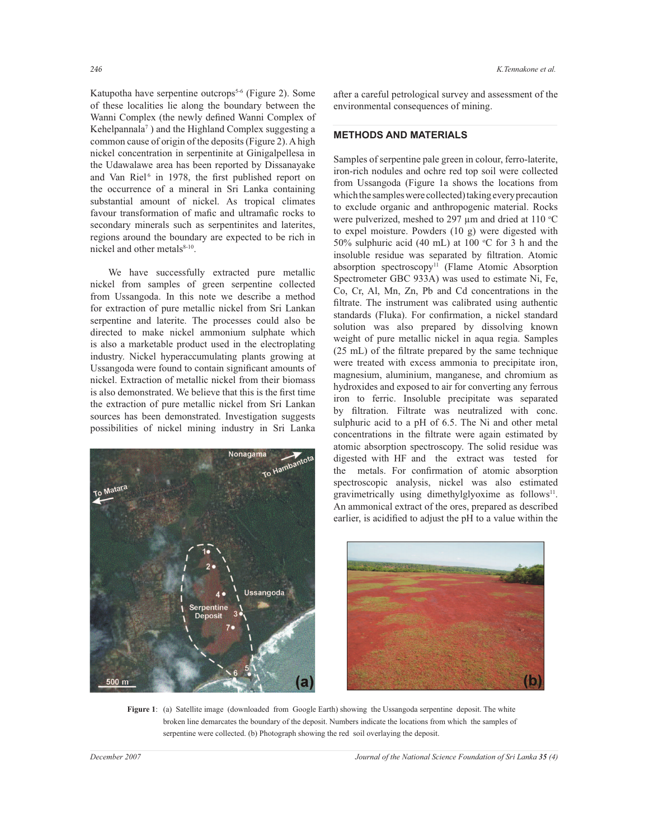Katupotha have serpentine outcrops<sup>5-6</sup> (Figure 2). Some of these localities lie along the boundary between the Wanni Complex (the newly defined Wanni Complex of Kehelpannala<sup>7</sup> ) and the Highland Complex suggesting a common cause of origin of the deposits (Figure 2). A high nickel concentration in serpentinite at Ginigalpellesa in the Udawalawe area has been reported by Dissanayake and Van Riel<sup>6</sup> in 1978, the first published report on the occurrence of a mineral in Sri Lanka containing substantial amount of nickel. As tropical climates favour transformation of mafic and ultramafic rocks to secondary minerals such as serpentinites and laterites, regions around the boundary are expected to be rich in nickel and other metals<sup>8-10</sup>.

 We have successfully extracted pure metallic nickel from samples of green serpentine collected from Ussangoda. In this note we describe a method for extraction of pure metallic nickel from Sri Lankan serpentine and laterite. The processes could also be directed to make nickel ammonium sulphate which is also a marketable product used in the electroplating industry. Nickel hyperaccumulating plants growing at Ussangoda were found to contain significant amounts of nickel. Extraction of metallic nickel from their biomass is also demonstrated. We believe that this is the first time the extraction of pure metallic nickel from Sri Lankan sources has been demonstrated. Investigation suggests possibilities of nickel mining industry in Sri Lanka



after a careful petrological survey and assessment of the environmental consequences of mining.

# **METHODS AND MATERIALS**

Samples of serpentine pale green in colour, ferro-laterite, iron-rich nodules and ochre red top soil were collected from Ussangoda (Figure 1a shows the locations from which the samples were collected) taking every precaution to exclude organic and anthropogenic material. Rocks were pulverized, meshed to 297  $\mu$ m and dried at 110 °C to expel moisture. Powders (10 g) were digested with 50% sulphuric acid (40 mL) at 100  $\degree$ C for 3 h and the insoluble residue was separated by filtration. Atomic absorption spectroscopy<sup>11</sup> (Flame Atomic Absorption Spectrometer GBC 933A) was used to estimate Ni, Fe, Co, Cr, Al, Mn, Zn, Pb and Cd concentrations in the filtrate. The instrument was calibrated using authentic standards (Fluka). For confirmation, a nickel standard solution was also prepared by dissolving known weight of pure metallic nickel in aqua regia. Samples (25 mL) of the filtrate prepared by the same technique were treated with excess ammonia to precipitate iron, magnesium, aluminium, manganese, and chromium as hydroxides and exposed to air for converting any ferrous iron to ferric. Insoluble precipitate was separated by filtration. Filtrate was neutralized with conc. sulphuric acid to a pH of 6.5. The Ni and other metal concentrations in the filtrate were again estimated by atomic absorption spectroscopy. The solid residue was digested with HF and the extract was tested for the metals. For confirmation of atomic absorption spectroscopic analysis, nickel was also estimated gravimetrically using dimethylglyoxime as follows<sup>11</sup>. An ammonical extract of the ores, prepared as described earlier, is acidified to adjust the pH to a value within the



**Figure 1**: (a) Satellite image (downloaded from Google Earth) showing the Ussangoda serpentine deposit. The white broken line demarcates the boundary of the deposit. Numbers indicate the locations from which the samples of serpentine were collected. (b) Photograph showing the red soil overlaying the deposit.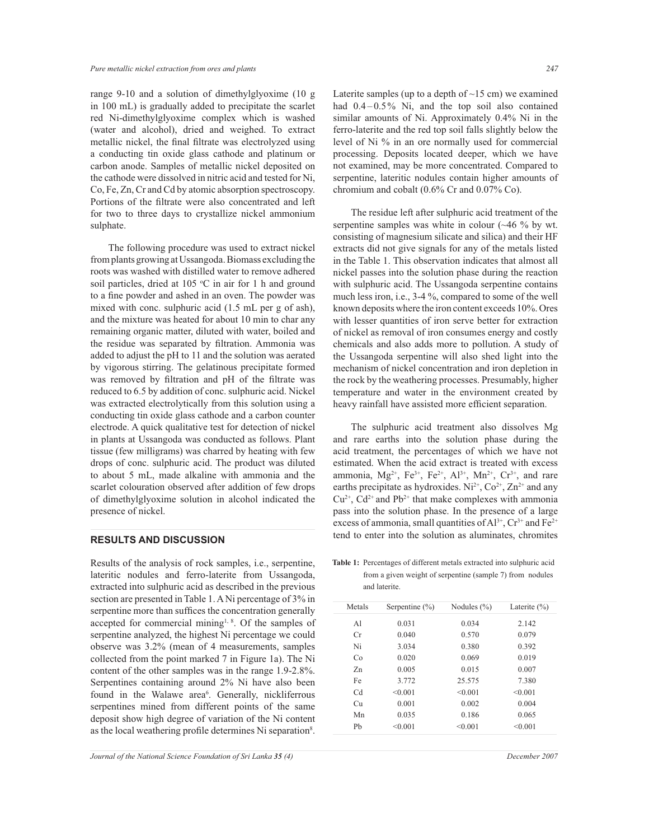range 9-10 and a solution of dimethylglyoxime (10 g in 100 mL) is gradually added to precipitate the scarlet red Ni-dimethylglyoxime complex which is washed (water and alcohol), dried and weighed. To extract metallic nickel, the final filtrate was electrolyzed using a conducting tin oxide glass cathode and platinum or carbon anode. Samples of metallic nickel deposited on the cathode were dissolved in nitric acid and tested for Ni, Co, Fe, Zn, Cr and Cd by atomic absorption spectroscopy. Portions of the filtrate were also concentrated and left for two to three days to crystallize nickel ammonium sulphate.

 The following procedure was used to extract nickel from plants growing at Ussangoda. Biomass excluding the roots was washed with distilled water to remove adhered soil particles, dried at 105  $\degree$ C in air for 1 h and ground to a fine powder and ashed in an oven. The powder was mixed with conc. sulphuric acid (1.5 mL per g of ash), and the mixture was heated for about 10 min to char any remaining organic matter, diluted with water, boiled and the residue was separated by filtration. Ammonia was added to adjust the pH to 11 and the solution was aerated by vigorous stirring. The gelatinous precipitate formed was removed by filtration and pH of the filtrate was reduced to 6.5 by addition of conc. sulphuric acid. Nickel was extracted electrolytically from this solution using a conducting tin oxide glass cathode and a carbon counter electrode. A quick qualitative test for detection of nickel in plants at Ussangoda was conducted as follows. Plant tissue (few milligrams) was charred by heating with few drops of conc. sulphuric acid. The product was diluted to about 5 mL, made alkaline with ammonia and the scarlet colouration observed after addition of few drops of dimethylglyoxime solution in alcohol indicated the presence of nickel.

#### **RESULTS AND DISCUSSION**

Results of the analysis of rock samples, i.e., serpentine, lateritic nodules and ferro-laterite from Ussangoda, extracted into sulphuric acid as described in the previous section are presented in Table 1. A Ni percentage of 3% in serpentine more than suffices the concentration generally accepted for commercial mining<sup>1, 8</sup>. Of the samples of serpentine analyzed, the highest Ni percentage we could observe was 3.2% (mean of 4 measurements, samples collected from the point marked 7 in Figure 1a). The Ni content of the other samples was in the range 1.9-2.8%. Serpentines containing around 2% Ni have also been found in the Walawe area<sup>6</sup>. Generally, nickliferrous serpentines mined from different points of the same deposit show high degree of variation of the Ni content as the local weathering profile determines Ni separation<sup>8</sup>. Laterite samples (up to a depth of  $\sim$ 15 cm) we examined had  $0.4 - 0.5\%$  Ni, and the top soil also contained similar amounts of Ni. Approximately 0.4% Ni in the ferro-laterite and the red top soil falls slightly below the level of Ni % in an ore normally used for commercial processing. Deposits located deeper, which we have not examined, may be more concentrated. Compared to serpentine, lateritic nodules contain higher amounts of chromium and cobalt (0.6% Cr and 0.07% Co).

 The residue left after sulphuric acid treatment of the serpentine samples was white in colour (~46 % by wt. consisting of magnesium silicate and silica) and their HF extracts did not give signals for any of the metals listed in the Table 1. This observation indicates that almost all nickel passes into the solution phase during the reaction with sulphuric acid. The Ussangoda serpentine contains much less iron, i.e., 3-4 %, compared to some of the well known deposits where the iron content exceeds 10%. Ores with lesser quantities of iron serve better for extraction of nickel as removal of iron consumes energy and costly chemicals and also adds more to pollution. A study of the Ussangoda serpentine will also shed light into the mechanism of nickel concentration and iron depletion in the rock by the weathering processes. Presumably, higher temperature and water in the environment created by heavy rainfall have assisted more efficient separation.

 The sulphuric acid treatment also dissolves Mg and rare earths into the solution phase during the acid treatment, the percentages of which we have not estimated. When the acid extract is treated with excess ammonia,  $Mg^{2+}$ , Fe<sup>3+</sup>, Fe<sup>2+</sup>, Al<sup>3+</sup>, Mn<sup>2+</sup>, Cr<sup>3+</sup>, and rare earths precipitate as hydroxides.  $Ni^{2+}$ ,  $Co^{2+}$ ,  $Zn^{2+}$  and any  $Cu^{2+}$ ,  $Cd^{2+}$  and  $Pb^{2+}$  that make complexes with ammonia pass into the solution phase. In the presence of a large excess of ammonia, small quantities of  $Al^{3+}$ ,  $Cr^{3+}$  and  $Fe^{2+}$ tend to enter into the solution as aluminates, chromites

**Table 1:** Percentages of different metals extracted into sulphuric acid from a given weight of serpentine (sample 7) from nodules and laterite.

| Metals | Serpentine $(\%)$ | Nodules $(\% )$ | Laterite $(\% )$ |  |
|--------|-------------------|-----------------|------------------|--|
| A1     | 0.031             | 0.034           | 2.142            |  |
| Cr     | 0.040             | 0.570           | 0.079            |  |
| Ni     | 3.034             | 0.380           | 0.392            |  |
| Co     | 0.020             | 0.069           | 0.019            |  |
| Zn     | 0.005             | 0.015           | 0.007            |  |
| Fe     | 3.772             | 25.575          | 7.380            |  |
| Cd     | < 0.001           | < 0.001         | < 0.001          |  |
| Cu     | 0.001             | 0.002           | 0.004            |  |
| Mn     | 0.035             | 0.186           | 0.065            |  |
| Ph     | < 0.001           | < 0.001         | < 0.001          |  |
|        |                   |                 |                  |  |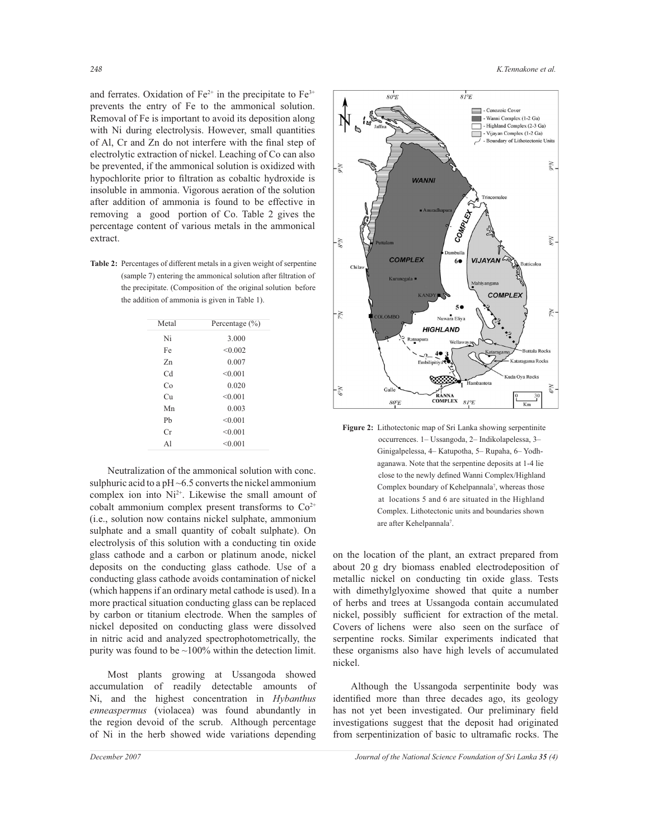and ferrates. Oxidation of  $Fe^{2+}$  in the precipitate to  $Fe^{3+}$ prevents the entry of Fe to the ammonical solution. Removal of Fe is important to avoid its deposition along with Ni during electrolysis. However, small quantities of Al, Cr and Zn do not interfere with the final step of electrolytic extraction of nickel. Leaching of Co can also be prevented, if the ammonical solution is oxidized with hypochlorite prior to filtration as cobaltic hydroxide is insoluble in ammonia. Vigorous aeration of the solution after addition of ammonia is found to be effective in removing a good portion of Co. Table 2 gives the percentage content of various metals in the ammonical extract.

**Table 2:** Percentages of different metals in a given weight of serpentine (sample 7) entering the ammonical solution after filtration of the precipitate. (Composition of the original solution before the addition of ammonia is given in Table 1).

| Metal | Percentage $(\% )$ |
|-------|--------------------|
| Ni    | 3.000              |
| Fe    | < 0.002            |
| Zn    | 0.007              |
| Cd    | < 0.001            |
| Co    | 0.020              |
| Cu    | < 0.001            |
| Mn    | 0.003              |
| Pb    | < 0.001            |
| Сr    | < 0.001            |
| Al    | < 0.001            |

 Neutralization of the ammonical solution with conc. sulphuric acid to a pH ~6.5 converts the nickel ammonium complex ion into  $Ni^{2+}$ . Likewise the small amount of cobalt ammonium complex present transforms to  $Co<sup>2+</sup>$ (i.e., solution now contains nickel sulphate, ammonium sulphate and a small quantity of cobalt sulphate). On electrolysis of this solution with a conducting tin oxide glass cathode and a carbon or platinum anode, nickel deposits on the conducting glass cathode. Use of a conducting glass cathode avoids contamination of nickel (which happens if an ordinary metal cathode is used). In a more practical situation conducting glass can be replaced by carbon or titanium electrode. When the samples of nickel deposited on conducting glass were dissolved in nitric acid and analyzed spectrophotometrically, the purity was found to be  $\sim$ 100% within the detection limit.

 Most plants growing at Ussangoda showed accumulation of readily detectable amounts of Ni, and the highest concentration in *Hybanthus enneaspermus* (violacea) was found abundantly in the region devoid of the scrub. Although percentage of Ni in the herb showed wide variations depending



**Figure 2:** Lithotectonic map of Sri Lanka showing serpentinite occurrences. 1– Ussangoda, 2– Indikolapelessa, 3– Ginigalpelessa, 4– Katupotha, 5– Rupaha, 6– Yodh aganawa. Note that the serpentine deposits at 1-4 lie close to the newly defined Wanni Complex/Highland Complex boundary of Kehelpannala<sup>7</sup>, whereas those at locations 5 and 6 are situated in the Highland Complex. Lithotectonic units and boundaries shown are after Kehelpannala<sup>7</sup> .

on the location of the plant, an extract prepared from about 20 g dry biomass enabled electrodeposition of metallic nickel on conducting tin oxide glass. Tests with dimethylglyoxime showed that quite a number of herbs and trees at Ussangoda contain accumulated nickel, possibly sufficient for extraction of the metal. Covers of lichens were also seen on the surface of serpentine rocks. Similar experiments indicated that these organisms also have high levels of accumulated nickel.

 Although the Ussangoda serpentinite body was identified more than three decades ago, its geology has not yet been investigated. Our preliminary field investigations suggest that the deposit had originated from serpentinization of basic to ultramafic rocks. The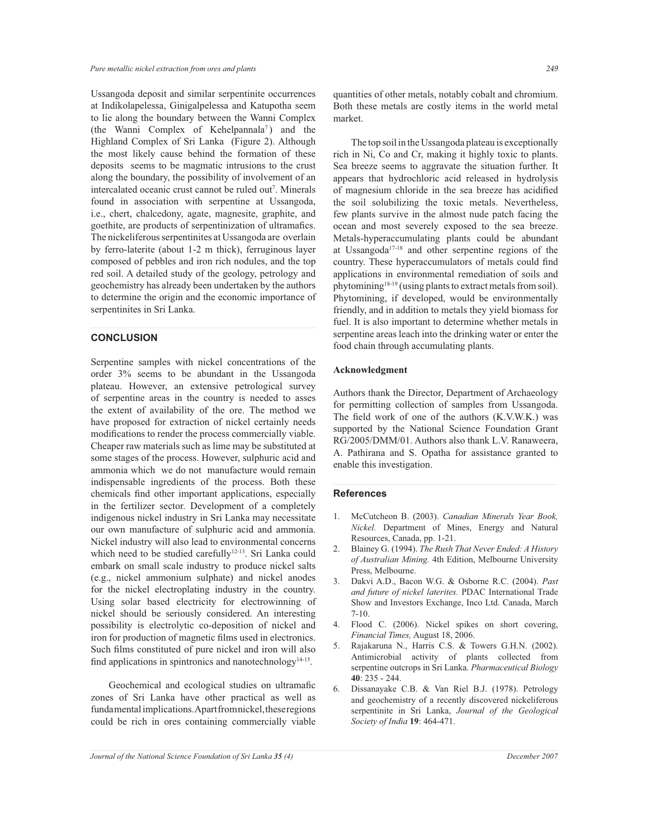Ussangoda deposit and similar serpentinite occurrences at Indikolapelessa, Ginigalpelessa and Katupotha seem to lie along the boundary between the Wanni Complex (the Wanni Complex of Kehelpannala<sup>7</sup>) and the Highland Complex of Sri Lanka (Figure 2). Although the most likely cause behind the formation of these deposits seems to be magmatic intrusions to the crust along the boundary, the possibility of involvement of an intercalated oceanic crust cannot be ruled out<sup>7</sup>. Minerals found in association with serpentine at Ussangoda, i.e., chert, chalcedony, agate, magnesite, graphite, and goethite, are products of serpentinization of ultramafics. The nickeliferous serpentinites at Ussangoda are overlain by ferro-laterite (about 1-2 m thick), ferruginous layer composed of pebbles and iron rich nodules, and the top red soil. A detailed study of the geology, petrology and geochemistry has already been undertaken by the authors to determine the origin and the economic importance of serpentinites in Sri Lanka.

## **CONCLUSION**

Serpentine samples with nickel concentrations of the order 3% seems to be abundant in the Ussangoda plateau. However, an extensive petrological survey of serpentine areas in the country is needed to asses the extent of availability of the ore. The method we have proposed for extraction of nickel certainly needs modifications to render the process commercially viable. Cheaper raw materials such as lime may be substituted at some stages of the process. However, sulphuric acid and ammonia which we do not manufacture would remain indispensable ingredients of the process. Both these chemicals find other important applications, especially in the fertilizer sector. Development of a completely indigenous nickel industry in Sri Lanka may necessitate our own manufacture of sulphuric acid and ammonia. Nickel industry will also lead to environmental concerns which need to be studied carefully<sup>12-13</sup>. Sri Lanka could embark on small scale industry to produce nickel salts (e.g., nickel ammonium sulphate) and nickel anodes for the nickel electroplating industry in the country. Using solar based electricity for electrowinning of nickel should be seriously considered. An interesting possibility is electrolytic co-deposition of nickel and iron for production of magnetic films used in electronics. Such films constituted of pure nickel and iron will also find applications in spintronics and nanotechnology<sup>14-15</sup>.

 Geochemical and ecological studies on ultramafic zones of Sri Lanka have other practical as well as funda mental implications. Apart from nickel, these regions could be rich in ores containing commercially viable quantities of other metals, notably cobalt and chromium. Both these metals are costly items in the world metal market.

 The top soil in the Ussangoda plateau is exceptionally rich in Ni, Co and Cr, making it highly toxic to plants. Sea breeze seems to aggravate the situation further. It appears that hydrochloric acid released in hydrolysis of magnesium chloride in the sea breeze has acidified the soil solubilizing the toxic metals. Nevertheless, few plants survive in the almost nude patch facing the ocean and most severely exposed to the sea breeze. Metals-hyperaccumulating plants could be abundant at Ussangoda17-18 and other serpentine regions of the country. These hyperaccumulators of metals could find applications in environmental remediation of soils and phytomining18-19 (using plants to extract metals from soil). Phytomining, if developed, would be environmentally friendly, and in addition to metals they yield biomass for fuel. It is also important to determine whether metals in serpentine areas leach into the drinking water or enter the food chain through accumulating plants.

### **Acknowledgment**

Authors thank the Director, Department of Archaeology for permitting collection of samples from Ussangoda. The field work of one of the authors (K.V.W.K.) was supported by the National Science Foundation Grant RG/2005/DMM/01. Authors also thank L.V. Ranaweera, A. Pathirana and S. Opatha for assistance granted to enable this investigation.

## **References**

- 1. McCutcheon B. (2003). *Canadian Minerals Year Book, Nickel.* Department of Mines, Energy and Natural Resources, Canada, pp. 1-21.
- 2. Blainey G. (1994). *The Rush That Never Ended: A History of Australian Mining.* 4th Edition, Melbourne University Press, Melbourne.
- 3. Dakvi A.D., Bacon W.G. & Osborne R.C. (2004). *Past and future of nickel laterites.* PDAC International Trade Show and Investors Exchange, Inco Ltd. Canada, March 7-10.
- 4. Flood C. (2006). Nickel spikes on short covering, *Financial Times,* August 18, 2006.
- 5. Rajakaruna N., Harris C.S. & Towers G.H.N. (2002). Antimicrobial activity of plants collected from serpentine outcrops in Sri Lanka. *Pharmaceutical Biology*  **40**: 235 - 244.
- 6. Dissanayake C.B. & Van Riel B.J. (1978). Petrology and geochemistry of a recently discovered nickeliferous serpentinite in Sri Lanka, *Journal of the Geological Society of India* **19**: 464-471.